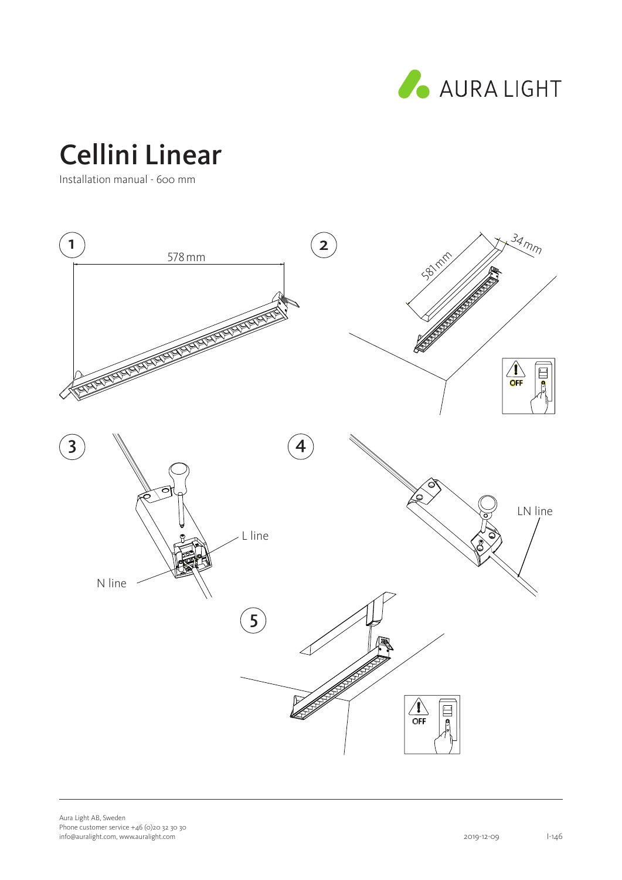

# Cellini Linear

Installation manual - 600 mm